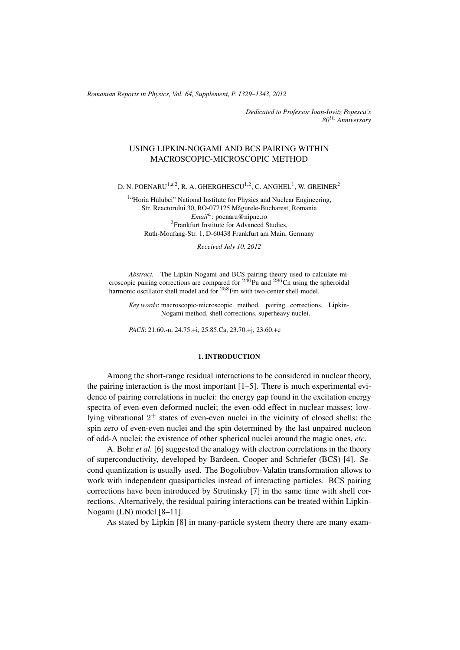(c) RRP 64(Supplement) 1329–1343 2012 *Romanian Reports in Physics, Vol. 64, Supplement, P. 1329–1343, 2012*

*Dedicated to Professor Ioan-Iovitz Popescu's 80*th *Anniversary*

# USING LIPKIN-NOGAMI AND BCS PAIRING WITHIN MACROSCOPIC-MICROSCOPIC METHOD

D. N. POENARU $^{1,a,2}$ , R. A. GHERGHESCU $^{1,2}$ , C. ANGHEL $^{1}$ , W. GREINER $^{2}$ 

<sup>1</sup>"Horia Hulubei" National Institute for Physics and Nuclear Engineering, Str. Reactorului 30, RO-077125 Măgurele-Bucharest, Romania *Email*<sup>a</sup> : poenaru@nipne.ro <sup>2</sup> Frankfurt Institute for Advanced Studies, Ruth-Moufang-Str. 1, D-60438 Frankfurt am Main, Germany

*Received July 10, 2012*

*Abstract.* The Lipkin-Nogami and BCS pairing theory used to calculate microscopic pairing corrections are compared for  $2^{40}$ Pu and  $2^{86}$ Cn using the spheroidal harmonic oscillator shell model and for  $258$ Fm with two-center shell model.

*Key words*: macroscopic-microscopic method, pairing corrections, Lipkin-Nogami method, shell corrections, superheavy nuclei.

*PACS*: 21.60.-n, 24.75.+i, 25.85.Ca, 23.70.+j, 23.60.+e

# 1. INTRODUCTION

Among the short-range residual interactions to be considered in nuclear theory, the pairing interaction is the most important [1–5]. There is much experimental evidence of pairing correlations in nuclei: the energy gap found in the excitation energy spectra of even-even deformed nuclei; the even-odd effect in nuclear masses; lowlying vibrational  $2^+$  states of even-even nuclei in the vicinity of closed shells; the spin zero of even-even nuclei and the spin determined by the last unpaired nucleon of odd-A nuclei; the existence of other spherical nuclei around the magic ones, *etc*.

A. Bohr *et al.* [6] suggested the analogy with electron correlations in the theory of superconductivity, developed by Bardeen, Cooper and Schriefer (BCS) [4]. Second quantization is usually used. The Bogoliubov-Valatin transformation allows to work with independent quasiparticles instead of interacting particles. BCS pairing corrections have been introduced by Strutinsky [7] in the same time with shell corrections. Alternatively, the residual pairing interactions can be treated within Lipkin-Nogami (LN) model [8–11].

As stated by Lipkin [8] in many-particle system theory there are many exam-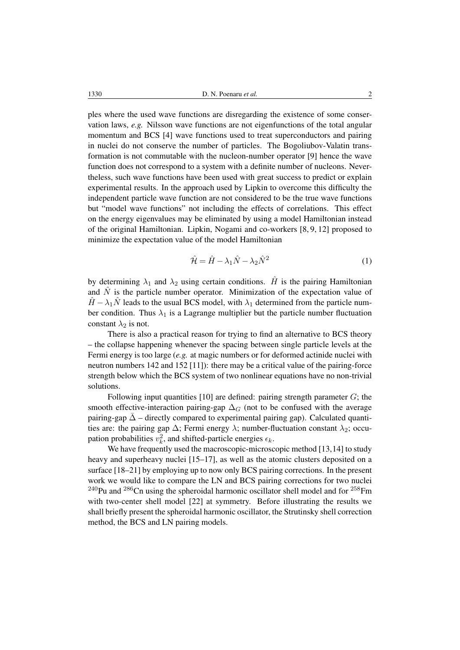1330 D. N. Poenaru *et al.* 2

ples where the used wave functions are disregarding the existence of some conservation laws, *e.g.* Nilsson wave functions are not eigenfunctions of the total angular momentum and BCS [4] wave functions used to treat superconductors and pairing in nuclei do not conserve the number of particles. The Bogoliubov-Valatin transformation is not commutable with the nucleon-number operator [9] hence the wave function does not correspond to a system with a definite number of nucleons. Nevertheless, such wave functions have been used with great success to predict or explain experimental results. In the approach used by Lipkin to overcome this difficulty the independent particle wave function are not considered to be the true wave functions but "model wave functions" not including the effects of correlations. This effect on the energy eigenvalues may be eliminated by using a model Hamiltonian instead of the original Hamiltonian. Lipkin, Nogami and co-workers [8, 9, 12] proposed to minimize the expectation value of the model Hamiltonian

$$
\hat{\mathcal{H}} = \hat{H} - \lambda_1 \hat{N} - \lambda_2 \hat{N}^2 \tag{1}
$$

by determining  $\lambda_1$  and  $\lambda_2$  using certain conditions. H is the pairing Hamiltonian and  $\hat{N}$  is the particle number operator. Minimization of the expectation value of  $\hat{H} - \lambda_1 \hat{N}$  leads to the usual BCS model, with  $\lambda_1$  determined from the particle number condition. Thus  $\lambda_1$  is a Lagrange multiplier but the particle number fluctuation constant  $\lambda_2$  is not.

There is also a practical reason for trying to find an alternative to BCS theory – the collapse happening whenever the spacing between single particle levels at the Fermi energy is too large (*e.g.* at magic numbers or for deformed actinide nuclei with neutron numbers 142 and 152 [11]): there may be a critical value of the pairing-force strength below which the BCS system of two nonlinear equations have no non-trivial solutions.

Following input quantities  $[10]$  are defined: pairing strength parameter  $G$ ; the smooth effective-interaction pairing-gap  $\Delta_G$  (not to be confused with the average pairing-gap  $\bar{\Delta}$  – directly compared to experimental pairing gap). Calculated quantities are: the pairing gap  $\Delta$ ; Fermi energy  $\lambda$ ; number-fluctuation constant  $\lambda_2$ ; occupation probabilities  $v_k^2$ , and shifted-particle energies  $\epsilon_k$ .

We have frequently used the macroscopic-microscopic method [13,14] to study heavy and superheavy nuclei [15–17], as well as the atomic clusters deposited on a surface [18–21] by employing up to now only BCS pairing corrections. In the present work we would like to compare the LN and BCS pairing corrections for two nuclei  $^{240}$ Pu and  $^{286}$ Cn using the spheroidal harmonic oscillator shell model and for  $^{258}$ Fm with two-center shell model [22] at symmetry. Before illustrating the results we shall briefly present the spheroidal harmonic oscillator, the Strutinsky shell correction method, the BCS and LN pairing models.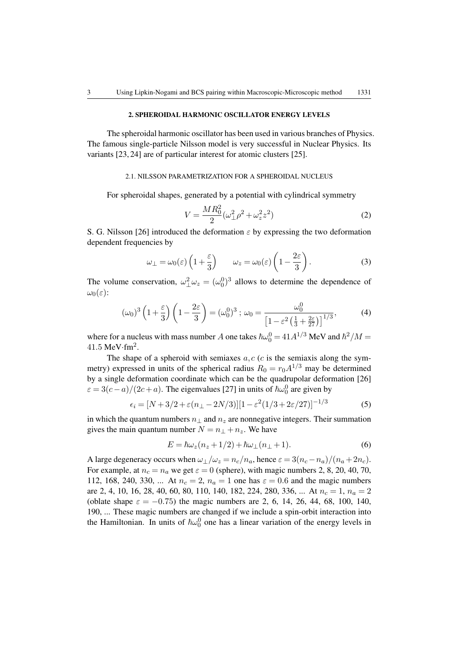#### 2. SPHEROIDAL HARMONIC OSCILLATOR ENERGY LEVELS

The spheroidal harmonic oscillator has been used in various branches of Physics. The famous single-particle Nilsson model is very successful in Nuclear Physics. Its variants [23, 24] are of particular interest for atomic clusters [25].

### 2.1. NILSSON PARAMETRIZATION FOR A SPHEROIDAL NUCLEUS

For spheroidal shapes, generated by a potential with cylindrical symmetry

$$
V = \frac{MR_0^2}{2}(\omega_{\perp}^2 \rho^2 + \omega_z^2 z^2)
$$
 (2)

S. G. Nilsson [26] introduced the deformation  $\varepsilon$  by expressing the two deformation dependent frequencies by

$$
\omega_{\perp} = \omega_0(\varepsilon) \left( 1 + \frac{\varepsilon}{3} \right) \qquad \omega_z = \omega_0(\varepsilon) \left( 1 - \frac{2\varepsilon}{3} \right). \tag{3}
$$

The volume conservation,  $\omega_{\perp}^2 \omega_z = (\omega_0^0)^3$  allows to determine the dependence of  $\omega_0(\varepsilon)$ :

$$
(\omega_0)^3 \left(1 + \frac{\varepsilon}{3}\right) \left(1 - \frac{2\varepsilon}{3}\right) = (\omega_0^0)^3 \; ; \; \omega_0 = \frac{\omega_0^0}{\left[1 - \varepsilon^2 \left(\frac{1}{3} + \frac{2\varepsilon}{27}\right)\right]^{1/3}},\tag{4}
$$

where for a nucleus with mass number A one takes  $\hbar \omega_0^0 = 41 A^{1/3}$  MeV and  $\hbar^2 / M =$  $41.5 \text{ MeV} \cdot \text{fm}^2$ .

The shape of a spheroid with semiaxes  $a, c$  (*c* is the semiaxis along the symmetry) expressed in units of the spherical radius  $R_0 = r_0 A^{1/3}$  may be determined by a single deformation coordinate which can be the quadrupolar deformation [26]  $\varepsilon = 3(c-a)/(2c+a)$ . The eigenvalues [27] in units of  $\hbar \omega_0^0$  are given by

$$
\epsilon_i = [N + 3/2 + \varepsilon (n_\perp - 2N/3)][1 - \varepsilon^2 (1/3 + 2\varepsilon/27)]^{-1/3}
$$
 (5)

in which the quantum numbers  $n_{\perp}$  and  $n_z$  are nonnegative integers. Their summation gives the main quantum number  $N = n_{\perp} + n_z$ . We have

$$
E = \hbar\omega_z(n_z + 1/2) + \hbar\omega_\perp(n_\perp + 1). \tag{6}
$$

A large degeneracy occurs when  $\omega_{\perp}/\omega_z = n_c/n_a$ , hence  $\varepsilon = 3(n_c - n_a)/(n_a + 2n_c)$ . For example, at  $n_c = n_a$  we get  $\varepsilon = 0$  (sphere), with magic numbers 2, 8, 20, 40, 70, 112, 168, 240, 330, ... At  $n_c = 2$ ,  $n_a = 1$  one has  $\varepsilon = 0.6$  and the magic numbers are 2, 4, 10, 16, 28, 40, 60, 80, 110, 140, 182, 224, 280, 336, ... At  $n_c = 1$ ,  $n_a = 2$ (oblate shape  $\varepsilon = -0.75$ ) the magic numbers are 2, 6, 14, 26, 44, 68, 100, 140, 190, ... These magic numbers are changed if we include a spin-orbit interaction into the Hamiltonian. In units of  $\hbar \omega_0^0$  one has a linear variation of the energy levels in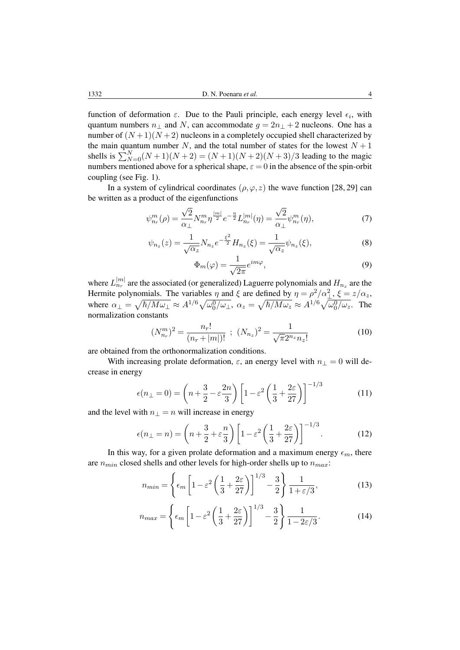function of deformation  $\varepsilon$ . Due to the Pauli principle, each energy level  $\epsilon_i$ , with quantum numbers  $n_{\perp}$  and N, can accommodate  $g = 2n_{\perp} + 2$  nucleons. One has a number of  $(N+1)(N+2)$  nucleons in a completely occupied shell characterized by the main quantum number N, and the total number of states for the lowest  $N + 1$ shells is  $\sum_{N=0}^{N} (N+1)(N+2) = (N+1)(N+2)(N+3)/3$  leading to the magic numbers mentioned above for a spherical shape,  $\varepsilon = 0$  in the absence of the spin-orbit coupling (see Fig. 1).

In a system of cylindrical coordinates ( $\rho, \varphi, z$ ) the wave function [28, 29] can be written as a product of the eigenfunctions

$$
\psi_{n_r}^m(\rho) = \frac{\sqrt{2}}{\alpha_\perp} N_{n_r}^m \eta^{\frac{|m|}{2}} e^{-\frac{\eta}{2}} L_{n_r}^{|m|}(\eta) = \frac{\sqrt{2}}{\alpha_\perp} \psi_{n_r}^m(\eta),\tag{7}
$$

$$
\psi_{n_z}(z) = \frac{1}{\sqrt{\alpha_z}} N_{n_z} e^{-\frac{\xi^2}{2}} H_{n_z}(\xi) = \frac{1}{\sqrt{\alpha_z}} \psi_{n_z}(\xi),\tag{8}
$$

$$
\Phi_m(\varphi) = \frac{1}{\sqrt{2\pi}} e^{im\varphi},\tag{9}
$$

where  $L_{n_r}^{|m|}$  are the associated (or generalized) Laguerre polynomials and  $H_{n_z}$  are the Hermite polynomials. The variables  $\eta$  and  $\xi$  are defined by  $\eta = \rho^2/\alpha_\perp^2$ ,  $\xi = z/\alpha_z$ , where  $\alpha_{\perp} = \sqrt{\hbar / M \omega_{\perp}} \approx A^{1/6} \sqrt{\omega_0^0 / \omega_{\perp}}$ ,  $\alpha_z = \sqrt{\hbar / M \omega_z} \approx A^{1/6} \sqrt{\omega_0^0 / \omega_z}$ . The normalization constants

$$
(N_{n_r}^m)^2 = \frac{n_r!}{(n_r + |m|)!} \; ; \; (N_{n_z})^2 = \frac{1}{\sqrt{\pi} 2^{n_z} n_z!} \tag{10}
$$

are obtained from the orthonormalization conditions.

With increasing prolate deformation,  $\varepsilon$ , an energy level with  $n_{\perp} = 0$  will decrease in energy

$$
\epsilon(n_{\perp} = 0) = \left(n + \frac{3}{2} - \varepsilon \frac{2n}{3}\right) \left[1 - \varepsilon^2 \left(\frac{1}{3} + \frac{2\varepsilon}{27}\right)\right]^{-1/3} \tag{11}
$$

and the level with  $n_{\perp} = n$  will increase in energy

$$
\epsilon(n_{\perp} = n) = \left(n + \frac{3}{2} + \varepsilon \frac{n}{3}\right) \left[1 - \varepsilon^2 \left(\frac{1}{3} + \frac{2\varepsilon}{27}\right)\right]^{-1/3}.\tag{12}
$$

In this way, for a given prolate deformation and a maximum energy  $\epsilon_m$ , there are  $n_{min}$  closed shells and other levels for high-order shells up to  $n_{max}$ :

$$
n_{min} = \left\{ \epsilon_m \left[ 1 - \varepsilon^2 \left( \frac{1}{3} + \frac{2\varepsilon}{27} \right) \right]^{1/3} - \frac{3}{2} \right\} \frac{1}{1 + \varepsilon/3},\tag{13}
$$

$$
n_{max} = \left\{ \epsilon_m \left[ 1 - \varepsilon^2 \left( \frac{1}{3} + \frac{2\varepsilon}{27} \right) \right]^{1/3} - \frac{3}{2} \right\} \frac{1}{1 - 2\varepsilon/3}.
$$
 (14)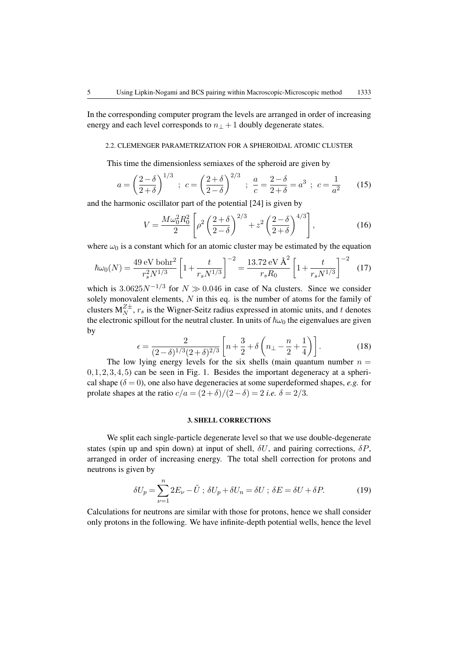In the corresponding computer program the levels are arranged in order of increasing energy and each level corresponds to  $n_+ + 1$  doubly degenerate states.

#### 2.2. CLEMENGER PARAMETRIZATION FOR A SPHEROIDAL ATOMIC CLUSTER

This time the dimensionless semiaxes of the spheroid are given by

$$
a = \left(\frac{2-\delta}{2+\delta}\right)^{1/3} \; ; \; c = \left(\frac{2+\delta}{2-\delta}\right)^{2/3} \; ; \; \frac{a}{c} = \frac{2-\delta}{2+\delta} = a^3 \; ; \; c = \frac{1}{a^2} \qquad (15)
$$

and the harmonic oscillator part of the potential [24] is given by

$$
V = \frac{M\omega_0^2 R_0^2}{2} \left[ \rho^2 \left( \frac{2+\delta}{2-\delta} \right)^{2/3} + z^2 \left( \frac{2-\delta}{2+\delta} \right)^{4/3} \right],
$$
 (16)

where  $\omega_0$  is a constant which for an atomic cluster may be estimated by the equation

$$
\hbar\omega_0(N) = \frac{49 \text{ eV bohr}^2}{r_s^2 N^{1/3}} \left[1 + \frac{t}{r_s N^{1/3}}\right]^{-2} = \frac{13.72 \text{ eV Å}^2}{r_s R_0} \left[1 + \frac{t}{r_s N^{1/3}}\right]^{-2} \tag{17}
$$

which is 3.0625 $N^{-1/3}$  for  $N \gg 0.046$  in case of Na clusters. Since we consider solely monovalent elements, N in this eq. is the number of atoms for the family of clusters  $M_N^{Z\pm}$ ,  $r_s$  is the Wigner-Seitz radius expressed in atomic units, and t denotes the electronic spillout for the neutral cluster. In units of  $\hbar\omega_0$  the eigenvalues are given by

$$
\epsilon = \frac{2}{(2-\delta)^{1/3}(2+\delta)^{2/3}} \left[ n + \frac{3}{2} + \delta \left( n_{\perp} - \frac{n}{2} + \frac{1}{4} \right) \right].
$$
 (18)

The low lying energy levels for the six shells (main quantum number  $n =$  $0,1,2,3,4,5$  can be seen in Fig. 1. Besides the important degeneracy at a spherical shape ( $\delta = 0$ ), one also have degeneracies at some superdeformed shapes, *e.g.* for prolate shapes at the ratio  $c/a = (2+\delta)/(2-\delta) = 2$  *i.e.*  $\delta = 2/3$ .

## 3. SHELL CORRECTIONS

We split each single-particle degenerate level so that we use double-degenerate states (spin up and spin down) at input of shell,  $\delta U$ , and pairing corrections,  $\delta P$ , arranged in order of increasing energy. The total shell correction for protons and neutrons is given by

$$
\delta U_p = \sum_{\nu=1}^n 2E_\nu - \tilde{U} \; ; \; \delta U_p + \delta U_n = \delta U \; ; \; \delta E = \delta U + \delta P. \tag{19}
$$

Calculations for neutrons are similar with those for protons, hence we shall consider only protons in the following. We have infinite-depth potential wells, hence the level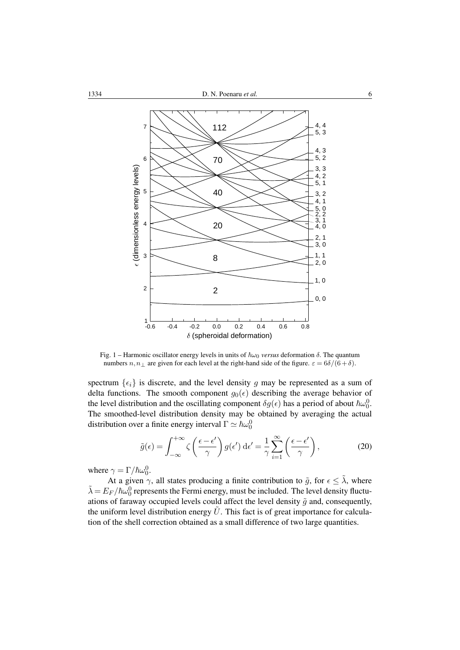

Fig. 1 – Harmonic oscillator energy levels in units of  $\hbar\omega_0$  *versus* deformation  $\delta$ . The quantum numbers  $n, n_{\perp}$  are given for each level at the right-hand side of the figure.  $\varepsilon = 6\delta/(6+\delta)$ .

spectrum  $\{\epsilon_i\}$  is discrete, and the level density g may be represented as a sum of delta functions. The smooth component  $g_0(\epsilon)$  describing the average behavior of the level distribution and the oscillating component  $\delta g(\epsilon)$  has a period of about  $\hbar \omega_0^0$ . The smoothed-level distribution density may be obtained by averaging the actual distribution over a finite energy interval  $\Gamma \simeq \hbar \omega_0^0$ 

$$
\tilde{g}(\epsilon) = \int_{-\infty}^{+\infty} \zeta \left( \frac{\epsilon - \epsilon'}{\gamma} \right) g(\epsilon') \, d\epsilon' = \frac{1}{\gamma} \sum_{i=1}^{\infty} \left( \frac{\epsilon - \epsilon'}{\gamma} \right),\tag{20}
$$

where  $\gamma = \Gamma/\hbar \omega_0^0$ .

At a given  $\gamma$ , all states producing a finite contribution to  $\tilde{g}$ , for  $\epsilon \leq \tilde{\lambda}$ , where  $\tilde{\lambda} = E_F / \hbar \omega_0^0$  represents the Fermi energy, must be included. The level density fluctuations of faraway occupied levels could affect the level density  $\tilde{g}$  and, consequently, the uniform level distribution energy  $\tilde{U}$ . This fact is of great importance for calculation of the shell correction obtained as a small difference of two large quantities.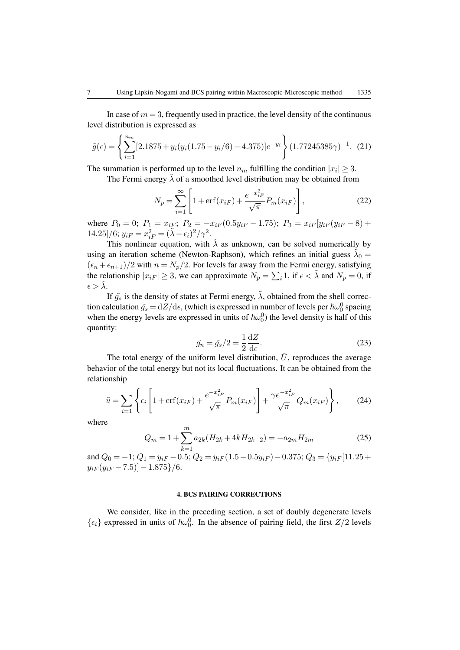In case of  $m = 3$ , frequently used in practice, the level density of the continuous level distribution is expressed as

$$
\tilde{g}(\epsilon) = \left\{ \sum_{i=1}^{n_m} [2.1875 + y_i(y_i(1.75 - y_i/6) - 4.375)]e^{-y_i} \right\} (1.77245385\gamma)^{-1}.
$$
 (21)

The summation is performed up to the level  $n_m$  fulfilling the condition  $|x_i| \geq 3$ .

The Fermi energy  $\lambda$  of a smoothed level distribution may be obtained from

$$
N_p = \sum_{i=1}^{\infty} \left[ 1 + \text{erf}(x_{iF}) + \frac{e^{-x_{iF}^2}}{\sqrt{\pi}} P_m(x_{iF}) \right],
$$
 (22)

where  $P_0 = 0$ ;  $P_1 = x_{iF}$ ;  $P_2 = -x_{iF}(0.5y_{iF} - 1.75)$ ;  $P_3 = x_{iF}[y_{iF}(y_{iF} - 8) +$ 14.25]/6;  $y_{iF} = x_{iF}^2 = (\tilde{\lambda} - \epsilon_i)^2 / \gamma^2$ .

This nonlinear equation, with  $\lambda$  as unknown, can be solved numerically by using an iteration scheme (Newton-Raphson), which refines an initial guess  $\tilde{\lambda}_0 =$  $(\epsilon_n + \epsilon_{n+1})/2$  with  $n = N_p/2$ . For levels far away from the Fermi energy, satisfying the relationship  $|x_{iF}| \ge 3$ , we can approximate  $N_p = \sum_i 1$ , if  $\epsilon < \tilde{\lambda}$  and  $N_p = 0$ , if  $\epsilon > \lambda$ .

If  $\tilde{g}_s$  is the density of states at Fermi energy,  $\tilde{\lambda}$ , obtained from the shell correction calculation  $\tilde{g}_s = dZ/d\epsilon$ , (which is expressed in number of levels per  $\hbar \omega_0^0$  spacing when the energy levels are expressed in units of  $\hbar \omega_0^0$  the level density is half of this quantity:

$$
\tilde{g}_n = \tilde{g}_s/2 = \frac{1}{2} \frac{\mathrm{d}Z}{\mathrm{d}\epsilon}.
$$
\n(23)

The total energy of the uniform level distribution,  $\tilde{U}$ , reproduces the average behavior of the total energy but not its local fluctuations. It can be obtained from the relationship

$$
\tilde{u} = \sum_{i=1} \left\{ \epsilon_i \left[ 1 + \text{erf}(x_{iF}) + \frac{e^{-x_{iF}^2}}{\sqrt{\pi}} P_m(x_{iF}) \right] + \frac{\gamma e^{-x_{iF}^2}}{\sqrt{\pi}} Q_m(x_{iF}) \right\},\qquad(24)
$$

where

$$
Q_m = 1 + \sum_{k=1}^{m} a_{2k} (H_{2k} + 4kH_{2k-2}) = -a_{2m} H_{2m}
$$
 (25)

and  $Q_0 = -1$ ;  $Q_1 = y_{iF} - 0.5$ ;  $Q_2 = y_{iF} (1.5 - 0.5y_{iF}) - 0.375$ ;  $Q_3 = \{y_{iF} [11.25 +$  $y_{iF}(y_{iF} - 7.5)$ ]  $- 1.875$ }/6.

# 4. BCS PAIRING CORRECTIONS

We consider, like in the preceding section, a set of doubly degenerate levels  $\{\epsilon_i\}$  expressed in units of  $\hbar\omega_0^0$ . In the absence of pairing field, the first  $Z/2$  levels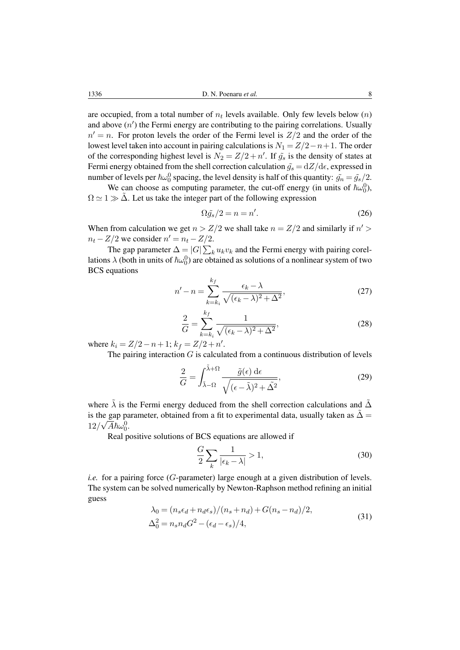1336 D. N. Poenaru *et al.* 8

are occupied, from a total number of  $n_t$  levels available. Only few levels below  $(n)$ and above  $(n')$  the Fermi energy are contributing to the pairing correlations. Usually  $n' = n$ . For proton levels the order of the Fermi level is  $Z/2$  and the order of the lowest level taken into account in pairing calculations is  $N_1 = Z/2 - n + 1$ . The order of the corresponding highest level is  $N_2 = Z/2 + n'$ . If  $\tilde{g}_s$  is the density of states at Fermi energy obtained from the shell correction calculation  $\tilde{g}_s = dZ/d\epsilon$ , expressed in number of levels per  $\hbar \omega_0^0$  spacing, the level density is half of this quantity:  $\tilde{g}_n = \tilde{g}_s/2$ .

We can choose as computing parameter, the cut-off energy (in units of  $\hbar \omega_0^0$ ),  $\Omega \simeq 1 \gg \tilde{\Delta}$ . Let us take the integer part of the following expression

$$
\Omega \tilde{g}_s / 2 = n = n'.\tag{26}
$$

When from calculation we get  $n > Z/2$  we shall take  $n = Z/2$  and similarly if  $n' >$  $n_t - Z/2$  we consider  $n' = n_t - Z/2$ .

The gap parameter  $\Delta = |G| \sum_{k} u_k v_k$  and the Fermi energy with pairing corellations  $\lambda$  (both in units of  $\hbar \omega_0^0$ ) are obtained as solutions of a nonlinear system of two BCS equations

$$
n'-n = \sum_{k=k_i}^{k_f} \frac{\epsilon_k - \lambda}{\sqrt{(\epsilon_k - \lambda)^2 + \Delta^2}},\tag{27}
$$

$$
\frac{2}{G} = \sum_{k=k_i}^{k_f} \frac{1}{\sqrt{(\epsilon_k - \lambda)^2 + \Delta^2}},\tag{28}
$$

where  $k_i = Z/2 - n + 1$ ;  $k_f = Z/2 + n'$ .

The pairing interaction  $G$  is calculated from a continuous distribution of levels

$$
\frac{2}{G} = \int_{\tilde{\lambda}-\Omega}^{\tilde{\lambda}+\Omega} \frac{\tilde{g}(\epsilon) d\epsilon}{\sqrt{(\epsilon-\tilde{\lambda})^2 + \tilde{\Delta}^2}},
$$
(29)

where  $\tilde{\lambda}$  is the Fermi energy deduced from the shell correction calculations and  $\tilde{\Delta}$ is the gap parameter, obtained from a fit to experimental data, usually taken as  $\tilde{\Delta} =$  $12/\sqrt{A}\hbar\omega_0^0$ .

Real positive solutions of BCS equations are allowed if

 $\mathbf{L}$ 

$$
\frac{G}{2} \sum_{k} \frac{1}{|\epsilon_k - \lambda|} > 1,\tag{30}
$$

*i.e.* for a pairing force (*G*-parameter) large enough at a given distribution of levels. The system can be solved numerically by Newton-Raphson method refining an initial guess

$$
\lambda_0 = (n_s \epsilon_d + n_d \epsilon_s) / (n_s + n_d) + G(n_s - n_d) / 2,
$$
  
\n
$$
\Delta_0^2 = n_s n_d G^2 - (\epsilon_d - \epsilon_s) / 4,
$$
\n(31)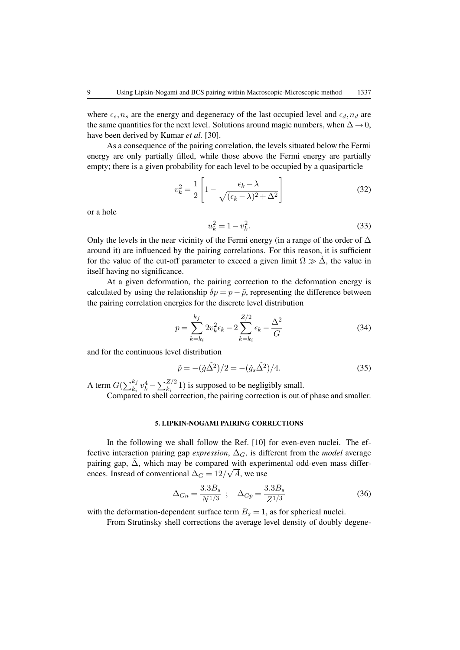where  $\epsilon_s$ ,  $n_s$  are the energy and degeneracy of the last occupied level and  $\epsilon_d$ ,  $n_d$  are the same quantities for the next level. Solutions around magic numbers, when  $\Delta \rightarrow 0$ , have been derived by Kumar *et al.* [30].

As a consequence of the pairing correlation, the levels situated below the Fermi energy are only partially filled, while those above the Fermi energy are partially empty; there is a given probability for each level to be occupied by a quasiparticle

$$
v_k^2 = \frac{1}{2} \left[ 1 - \frac{\epsilon_k - \lambda}{\sqrt{(\epsilon_k - \lambda)^2 + \Delta^2}} \right]
$$
 (32)

or a hole

$$
u_k^2 = 1 - v_k^2. \tag{33}
$$

Only the levels in the near vicinity of the Fermi energy (in a range of the order of  $\Delta$ around it) are influenced by the pairing correlations. For this reason, it is sufficient for the value of the cut-off parameter to exceed a given limit  $\Omega \gg \tilde{\Delta}$ , the value in itself having no significance.

At a given deformation, the pairing correction to the deformation energy is calculated by using the relationship  $\delta p = p - \tilde{p}$ , representing the difference between the pairing correlation energies for the discrete level distribution

$$
p = \sum_{k=k_i}^{k_f} 2v_k^2 \epsilon_k - 2\sum_{k=k_i}^{Z/2} \epsilon_k - \frac{\Delta^2}{G}
$$
 (34)

and for the continuous level distribution

$$
\tilde{p} = -(\tilde{g}\tilde{\Delta}^2)/2 = -(\tilde{g}_s\tilde{\Delta}^2)/4.
$$
\n(35)

A term  $G(\sum_{k_i}^{k_f} v_k^4 - \sum_{k_i}^{Z/2} 1)$  is supposed to be negligibly small. Compared to shell correction, the pairing correction is out of phase and smaller.

#### 5. LIPKIN-NOGAMI PAIRING CORRECTIONS

In the following we shall follow the Ref. [10] for even-even nuclei. The effective interaction pairing gap *expression*,  $\Delta_G$ , is different from the *model* average pairing gap,  $\bar{\Delta}$ , which may be compared with experimental odd-even mass differences. Instead of conventional  $\Delta_G = 12/\sqrt{A}$ , we use

$$
\Delta_{Gn} = \frac{3.3B_s}{N^{1/3}} \; ; \quad \Delta_{Gp} = \frac{3.3B_s}{Z^{1/3}} \tag{36}
$$

with the deformation-dependent surface term  $B_s = 1$ , as for spherical nuclei.

From Strutinsky shell corrections the average level density of doubly degene-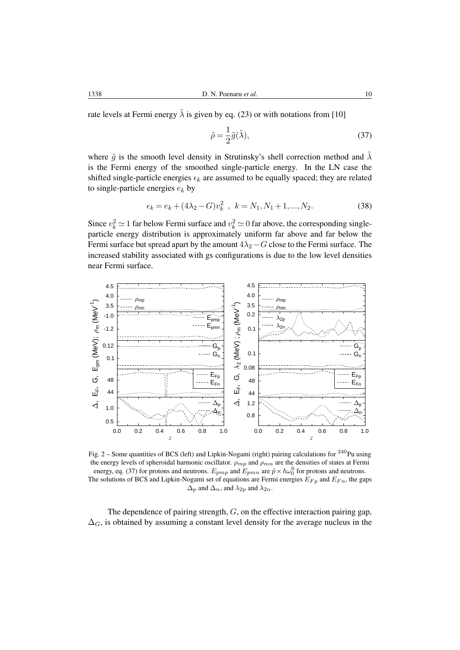rate levels at Fermi energy  $\tilde{\lambda}$  is given by eq. (23) or with notations from [10]

$$
\tilde{\rho} = \frac{1}{2}\tilde{g}(\tilde{\lambda}),\tag{37}
$$

where  $\tilde{q}$  is the smooth level density in Strutinsky's shell correction method and  $\lambda$ is the Fermi energy of the smoothed single-particle energy. In the LN case the shifted single-particle energies  $\epsilon_k$  are assumed to be equally spaced; they are related to single-particle energies  $e_k$  by

$$
\epsilon_k = e_k + (4\lambda_2 - G)v_k^2 \ , \ k = N_1, N_1 + 1, ..., N_2. \tag{38}
$$

Since  $v_k^2 \simeq 1$  far below Fermi surface and  $v_k^2 \simeq 0$  far above, the corresponding singleparticle energy distribution is approximately uniform far above and far below the Fermi surface but spread apart by the amount  $4\lambda_2 - G$  close to the Fermi surface. The increased stability associated with gs configurations is due to the low level densities near Fermi surface.



Fig. 2 – Some quantities of BCS (left) and Lipkin-Nogami (right) pairing calculations for  $^{240}$ Pu using the energy levels of spheroidal harmonic oscillator.  $\rho_{mp}$  and  $\rho_{mn}$  are the densities of states at Fermi energy, eq. (37) for protons and neutrons.  $E_{pmp}$  and  $E_{pmn}$  are  $\tilde{p} \times \hbar \omega_0^0$  for protons and neutrons. The solutions of BCS and Lipkin-Nogami set of equations are Fermi energies  $E_{Fp}$  and  $E_{Fn}$ , the gaps  $\Delta_p$  and  $\Delta_n$ , and  $\lambda_{2p}$  and  $\lambda_{2n}$ .

The dependence of pairing strength, G, on the effective interaction pairing gap,  $\Delta_G$ , is obtained by assuming a constant level density for the average nucleus in the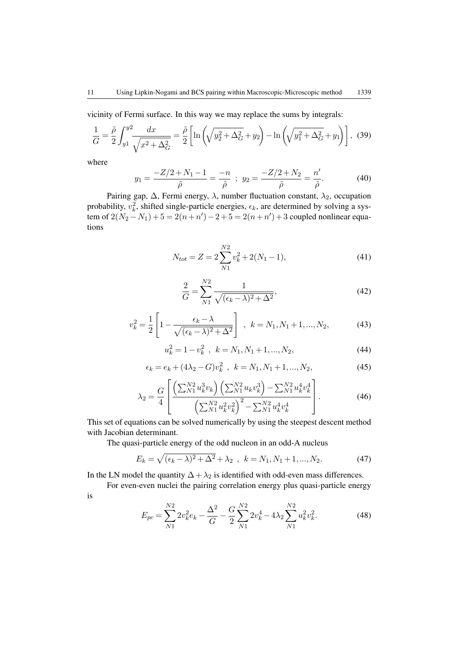vicinity of Fermi surface. In this way we may replace the sums by integrals:

$$
\frac{1}{G} = \frac{\tilde{\rho}}{2} \int_{y_1}^{y_2} \frac{dx}{\sqrt{x^2 + \Delta_G^2}} = \frac{\tilde{\rho}}{2} \left[ \ln \left( \sqrt{y_2^2 + \Delta_G^2} + y_2 \right) - \ln \left( \sqrt{y_1^2 + \Delta_G^2} + y_1 \right) \right], \tag{39}
$$

where

$$
y_1 = \frac{-Z/2 + N_1 - 1}{\tilde{\rho}} = \frac{-n}{\tilde{\rho}} \; ; \; y_2 = \frac{-Z/2 + N_2}{\tilde{\rho}} = \frac{n'}{\tilde{\rho}}.
$$
 (40)

Pairing gap,  $\Delta$ , Fermi energy,  $\lambda$ , number fluctuation constant,  $\lambda_2$ , occupation probability,  $v_k^2$ , shifted single-particle energies,  $\epsilon_k$ , are determined by solving a system of  $2(N_2 - N_1) + 5 = 2(n + n') - 2 + 5 = 2(n + n') + 3$  coupled nonlinear equations

$$
N_{tot} = Z = 2\sum_{N1}^{N2} v_k^2 + 2(N_1 - 1),
$$
\n(41)

$$
\frac{2}{G} = \sum_{N1}^{N2} \frac{1}{\sqrt{(\epsilon_k - \lambda)^2 + \Delta^2}},
$$
\n(42)

$$
v_k^2 = \frac{1}{2} \left[ 1 - \frac{\epsilon_k - \lambda}{\sqrt{(\epsilon_k - \lambda)^2 + \Delta^2}} \right], \quad k = N_1, N_1 + 1, ..., N_2,
$$
 (43)

$$
u_k^2 = 1 - v_k^2 \, , \, k = N_1, N_1 + 1, \dots, N_2,\tag{44}
$$

$$
\epsilon_k = e_k + (4\lambda_2 - G)v_k^2 \, , \, k = N_1, N_1 + 1, ..., N_2,\tag{45}
$$

$$
\lambda_2 = \frac{G}{4} \left[ \frac{\left(\sum_{N1}^{N2} u_k^3 v_k\right) \left(\sum_{N1}^{N2} u_k v_k^3\right) - \sum_{N1}^{N2} u_k^4 v_k^4}{\left(\sum_{N1}^{N2} u_k^2 v_k^2\right)^2 - \sum_{N1}^{N2} u_k^4 v_k^4} \right].
$$
 (46)

This set of equations can be solved numerically by using the steepest descent method with Jacobian determinant.

The quasi-particle energy of the odd nucleon in an odd-A nucleus

$$
E_k = \sqrt{(\epsilon_k - \lambda)^2 + \Delta^2} + \lambda_2, \quad k = N_1, N_1 + 1, \dots, N_2.
$$
 (47)

In the LN model the quantity  $\Delta + \lambda_2$  is identified with odd-even mass differences.

For even-even nuclei the pairing correlation energy plus quasi-particle energy is

$$
E_{pc} = \sum_{N1}^{N2} 2v_k^2 e_k - \frac{\Delta^2}{G} - \frac{G}{2} \sum_{N1}^{N2} 2v_k^4 - 4\lambda_2 \sum_{N1}^{N2} u_k^2 v_k^2.
$$
 (48)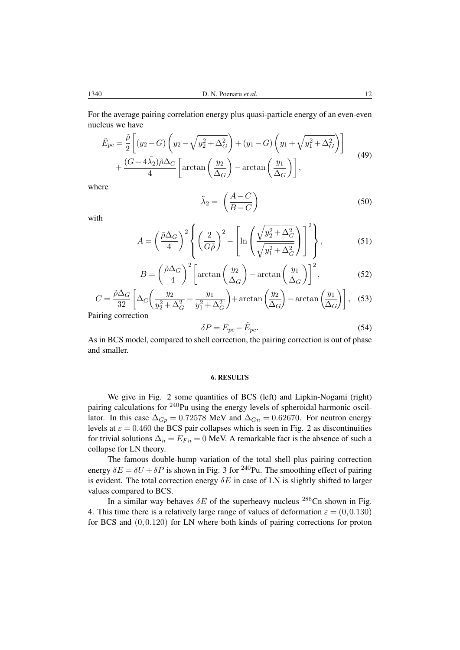For the average pairing correlation energy plus quasi-particle energy of an even-even nucleus we have

$$
\tilde{E}_{pc} = \frac{\tilde{\rho}}{2} \left[ (y_2 - G) \left( y_2 - \sqrt{y_2^2 + \Delta_G^2} \right) + (y_1 - G) \left( y_1 + \sqrt{y_1^2 + \Delta_G^2} \right) \right] + \frac{(G - 4\tilde{\lambda}_2)\tilde{\rho}\Delta_G}{4} \left[ \arctan\left( \frac{y_2}{\Delta_G} \right) - \arctan\left( \frac{y_1}{\Delta_G} \right) \right],
$$
\n(49)

where

$$
\tilde{\lambda}_2 = \left(\frac{A-C}{B-C}\right) \tag{50}
$$

with

$$
A = \left(\frac{\tilde{\rho}\Delta_G}{4}\right)^2 \left\{ \left(\frac{2}{G\tilde{\rho}}\right)^2 - \left[\ln\left(\frac{\sqrt{y_2^2 + \Delta_G^2}}{\sqrt{y_1^2 + \Delta_G^2}}\right)\right]^2 \right\},\tag{51}
$$

$$
B = \left(\frac{\tilde{\rho}\Delta_G}{4}\right)^2 \left[\arctan\left(\frac{y_2}{\Delta_G}\right) - \arctan\left(\frac{y_1}{\Delta_G}\right)\right]^2, \tag{52}
$$

$$
C = \frac{\tilde{\rho}\Delta_G}{32} \left[ \Delta_G \left( \frac{y_2}{y_2^2 + \Delta_G^2} - \frac{y_1}{y_1^2 + \Delta_G^2} \right) + \arctan\left( \frac{y_2}{\Delta_G} \right) - \arctan\left( \frac{y_1}{\Delta_G} \right) \right], \quad (53)
$$

Pairing correction

$$
\delta P = E_{pc} - \tilde{E}_{pc}.\tag{54}
$$

As in BCS model, compared to shell correction, the pairing correction is out of phase and smaller.

## 6. RESULTS

We give in Fig. 2 some quantities of BCS (left) and Lipkin-Nogami (right) pairing calculations for <sup>240</sup>Pu using the energy levels of spheroidal harmonic oscillator. In this case  $\Delta_{G_p} = 0.72578$  MeV and  $\Delta_{G_n} = 0.62670$ . For neutron energy levels at  $\varepsilon = 0.460$  the BCS pair collapses which is seen in Fig. 2 as discontinuities for trivial solutions  $\Delta_n = E_{Fn} = 0$  MeV. A remarkable fact is the absence of such a collapse for LN theory.

The famous double-hump variation of the total shell plus pairing correction energy  $\delta E = \delta U + \delta P$  is shown in Fig. 3 for <sup>240</sup>Pu. The smoothing effect of pairing is evident. The total correction energy  $\delta E$  in case of LN is slightly shifted to larger values compared to BCS.

In a similar way behaves  $\delta E$  of the superheavy nucleus <sup>286</sup>Cn shown in Fig. 4. This time there is a relatively large range of values of deformation  $\varepsilon = (0, 0.130)$ for BCS and (0,0.120) for LN where both kinds of pairing corrections for proton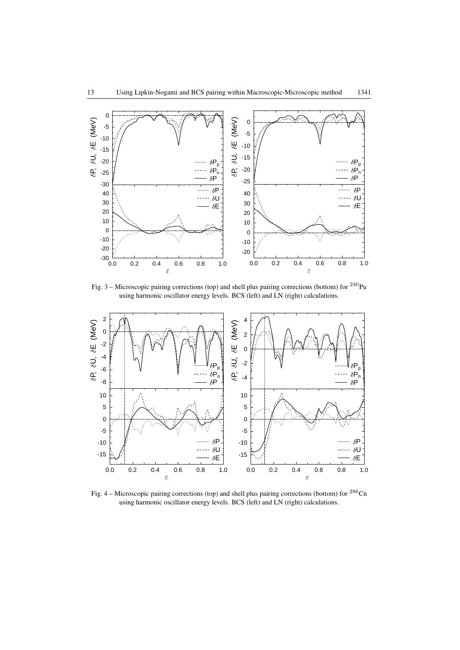

Fig. 3 – Microscopic pairing corrections (top) and shell plus pairing corrections (bottom) for  $^{240}$ Pu using harmonic oscillator energy levels. BCS (left) and LN (right) calculations.



Fig.  $4 -$  Microscopic pairing corrections (top) and shell plus pairing corrections (bottom) for  $^{286}$ Cn using harmonic oscillator energy levels. BCS (left) and LN (right) calculations.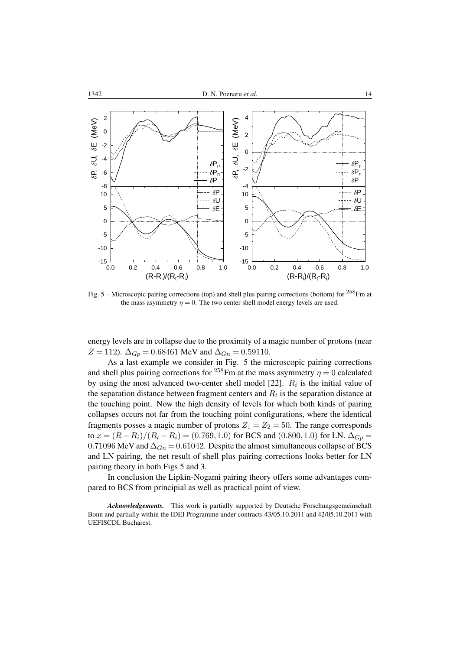

Fig. 5 – Microscopic pairing corrections (top) and shell plus pairing corrections (bottom) for <sup>258</sup>Fm at the mass asymmetry  $\eta = 0$ . The two center shell model energy levels are used.

energy levels are in collapse due to the proximity of a magic number of protons (near  $Z = 112$ ).  $\Delta_{Gp} = 0.68461$  MeV and  $\Delta_{Gp} = 0.59110$ .

As a last example we consider in Fig. 5 the microscopic pairing corrections and shell plus pairing corrections for <sup>258</sup>Fm at the mass asymmetry  $\eta = 0$  calculated by using the most advanced two-center shell model  $[22]$ .  $R_i$  is the initial value of the separation distance between fragment centers and  $R_t$  is the separation distance at the touching point. Now the high density of levels for which both kinds of pairing collapses occurs not far from the touching point configurations, where the identical fragments posses a magic number of protons  $Z_1 = Z_2 = 50$ . The range corresponds to  $x = (R - R_i)/(R_t - R_i) = (0.769, 1.0)$  for BCS and  $(0.800, 1.0)$  for LN.  $\Delta_{G_p}$ 0.71096 MeV and  $\Delta_{Gn} = 0.61042$ . Despite the almost simultaneous collapse of BCS and LN pairing, the net result of shell plus pairing corrections looks better for LN pairing theory in both Figs 5 and 3.

In conclusion the Lipkin-Nogami pairing theory offers some advantages compared to BCS from principial as well as practical point of view.

*Acknowledgements.* This work is partially supported by Deutsche Forschungsgemeinschaft Bonn and partially within the IDEI Programme under contracts 43/05.10.2011 and 42/05.10.2011 with UEFISCDI, Bucharest.